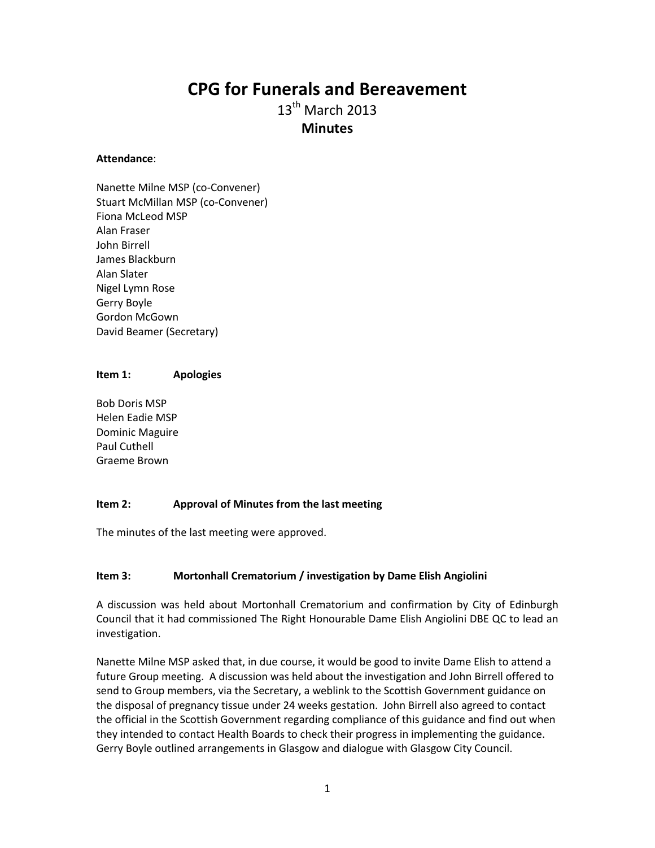# **CPG for Funerals and Bereavement**

 $13<sup>th</sup>$  March 2013 **Minutes**

#### **Attendance**:

Nanette Milne MSP (co-Convener) Stuart McMillan MSP (co-Convener) Fiona McLeod MSP Alan Fraser John Birrell James Blackburn Alan Slater Nigel Lymn Rose Gerry Boyle Gordon McGown David Beamer (Secretary)

#### **Item 1: Apologies**

Bob Doris MSP Helen Eadie MSP Dominic Maguire Paul Cuthell Graeme Brown

#### **Item 2: Approval of Minutes from the last meeting**

The minutes of the last meeting were approved.

#### **Item 3: Mortonhall Crematorium / investigation by Dame Elish Angiolini**

A discussion was held about Mortonhall Crematorium and confirmation by City of Edinburgh Council that it had commissioned The Right Honourable Dame Elish Angiolini DBE QC to lead an investigation.

Nanette Milne MSP asked that, in due course, it would be good to invite Dame Elish to attend a future Group meeting. A discussion was held about the investigation and John Birrell offered to send to Group members, via the Secretary, a weblink to the Scottish Government guidance on the disposal of pregnancy tissue under 24 weeks gestation. John Birrell also agreed to contact the official in the Scottish Government regarding compliance of this guidance and find out when they intended to contact Health Boards to check their progress in implementing the guidance. Gerry Boyle outlined arrangements in Glasgow and dialogue with Glasgow City Council.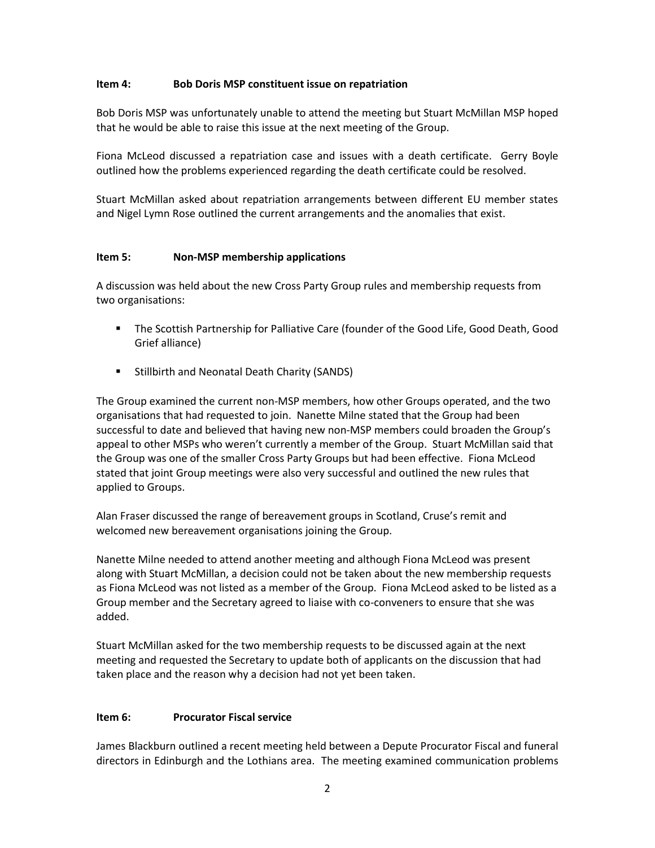#### **Item 4: Bob Doris MSP constituent issue on repatriation**

Bob Doris MSP was unfortunately unable to attend the meeting but Stuart McMillan MSP hoped that he would be able to raise this issue at the next meeting of the Group.

Fiona McLeod discussed a repatriation case and issues with a death certificate. Gerry Boyle outlined how the problems experienced regarding the death certificate could be resolved.

Stuart McMillan asked about repatriation arrangements between different EU member states and Nigel Lymn Rose outlined the current arrangements and the anomalies that exist.

#### **Item 5: Non-MSP membership applications**

A discussion was held about the new Cross Party Group rules and membership requests from two organisations:

- The Scottish Partnership for Palliative Care (founder of the Good Life, Good Death, Good Grief alliance)
- **Stillbirth and Neonatal Death Charity (SANDS)**

The Group examined the current non-MSP members, how other Groups operated, and the two organisations that had requested to join. Nanette Milne stated that the Group had been successful to date and believed that having new non-MSP members could broaden the Group's appeal to other MSPs who weren't currently a member of the Group. Stuart McMillan said that the Group was one of the smaller Cross Party Groups but had been effective. Fiona McLeod stated that joint Group meetings were also very successful and outlined the new rules that applied to Groups.

Alan Fraser discussed the range of bereavement groups in Scotland, Cruse's remit and welcomed new bereavement organisations joining the Group.

Nanette Milne needed to attend another meeting and although Fiona McLeod was present along with Stuart McMillan, a decision could not be taken about the new membership requests as Fiona McLeod was not listed as a member of the Group. Fiona McLeod asked to be listed as a Group member and the Secretary agreed to liaise with co-conveners to ensure that she was added.

Stuart McMillan asked for the two membership requests to be discussed again at the next meeting and requested the Secretary to update both of applicants on the discussion that had taken place and the reason why a decision had not yet been taken.

#### **Item 6: Procurator Fiscal service**

James Blackburn outlined a recent meeting held between a Depute Procurator Fiscal and funeral directors in Edinburgh and the Lothians area. The meeting examined communication problems